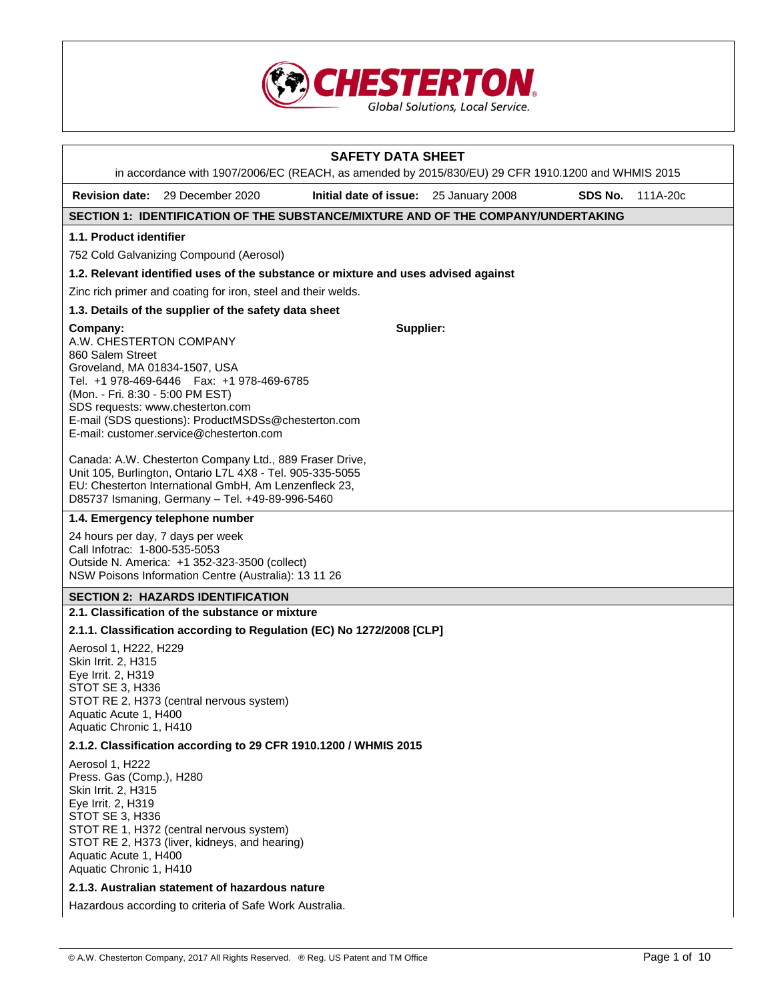

|                                                                                                                                                                 |                                                                                                                                                                                                                                  | <b>SAFETY DATA SHEET</b>               |         |          |
|-----------------------------------------------------------------------------------------------------------------------------------------------------------------|----------------------------------------------------------------------------------------------------------------------------------------------------------------------------------------------------------------------------------|----------------------------------------|---------|----------|
|                                                                                                                                                                 | in accordance with 1907/2006/EC (REACH, as amended by 2015/830/EU) 29 CFR 1910.1200 and WHMIS 2015                                                                                                                               |                                        |         |          |
|                                                                                                                                                                 | <b>Revision date:</b> 29 December 2020                                                                                                                                                                                           | Initial date of issue: 25 January 2008 | SDS No. | 111A-20c |
|                                                                                                                                                                 | SECTION 1: IDENTIFICATION OF THE SUBSTANCE/MIXTURE AND OF THE COMPANY/UNDERTAKING                                                                                                                                                |                                        |         |          |
| 1.1. Product identifier                                                                                                                                         |                                                                                                                                                                                                                                  |                                        |         |          |
|                                                                                                                                                                 | 752 Cold Galvanizing Compound (Aerosol)<br>1.2. Relevant identified uses of the substance or mixture and uses advised against                                                                                                    |                                        |         |          |
|                                                                                                                                                                 | Zinc rich primer and coating for iron, steel and their welds.                                                                                                                                                                    |                                        |         |          |
|                                                                                                                                                                 | 1.3. Details of the supplier of the safety data sheet                                                                                                                                                                            |                                        |         |          |
| Company:<br>A.W. CHESTERTON COMPANY<br>860 Salem Street<br>Groveland, MA 01834-1507, USA<br>(Mon. - Fri. 8:30 - 5:00 PM EST)                                    | Tel. +1 978-469-6446   Fax: +1 978-469-6785<br>SDS requests: www.chesterton.com<br>E-mail (SDS questions): ProductMSDSs@chesterton.com<br>E-mail: customer.service@chesterton.com                                                | Supplier:                              |         |          |
|                                                                                                                                                                 | Canada: A.W. Chesterton Company Ltd., 889 Fraser Drive,<br>Unit 105, Burlington, Ontario L7L 4X8 - Tel. 905-335-5055<br>EU: Chesterton International GmbH, Am Lenzenfleck 23,<br>D85737 Ismaning, Germany - Tel. +49-89-996-5460 |                                        |         |          |
|                                                                                                                                                                 | 1.4. Emergency telephone number                                                                                                                                                                                                  |                                        |         |          |
| Call Infotrac: 1-800-535-5053                                                                                                                                   | 24 hours per day, 7 days per week<br>Outside N. America: +1 352-323-3500 (collect)<br>NSW Poisons Information Centre (Australia): 13 11 26                                                                                       |                                        |         |          |
|                                                                                                                                                                 | <b>SECTION 2: HAZARDS IDENTIFICATION</b>                                                                                                                                                                                         |                                        |         |          |
|                                                                                                                                                                 | 2.1. Classification of the substance or mixture                                                                                                                                                                                  |                                        |         |          |
|                                                                                                                                                                 | 2.1.1. Classification according to Regulation (EC) No 1272/2008 [CLP]                                                                                                                                                            |                                        |         |          |
| Aerosol 1, H222, H229<br>Skin Irrit. 2, H315<br>Eye Irrit. 2, H319<br>STOT SE 3, H336<br>Aquatic Acute 1, H400<br>Aquatic Chronic 1, H410                       | STOT RE 2, H373 (central nervous system)                                                                                                                                                                                         |                                        |         |          |
|                                                                                                                                                                 | 2.1.2. Classification according to 29 CFR 1910.1200 / WHMIS 2015                                                                                                                                                                 |                                        |         |          |
| Aerosol 1, H222<br>Press. Gas (Comp.), H280<br>Skin Irrit. 2, H315<br>Eye Irrit. 2, H319<br>STOT SE 3, H336<br>Aquatic Acute 1, H400<br>Aquatic Chronic 1, H410 | STOT RE 1, H372 (central nervous system)<br>STOT RE 2, H373 (liver, kidneys, and hearing)                                                                                                                                        |                                        |         |          |
|                                                                                                                                                                 | 2.1.3. Australian statement of hazardous nature                                                                                                                                                                                  |                                        |         |          |
|                                                                                                                                                                 | Hazardous according to criteria of Safe Work Australia.                                                                                                                                                                          |                                        |         |          |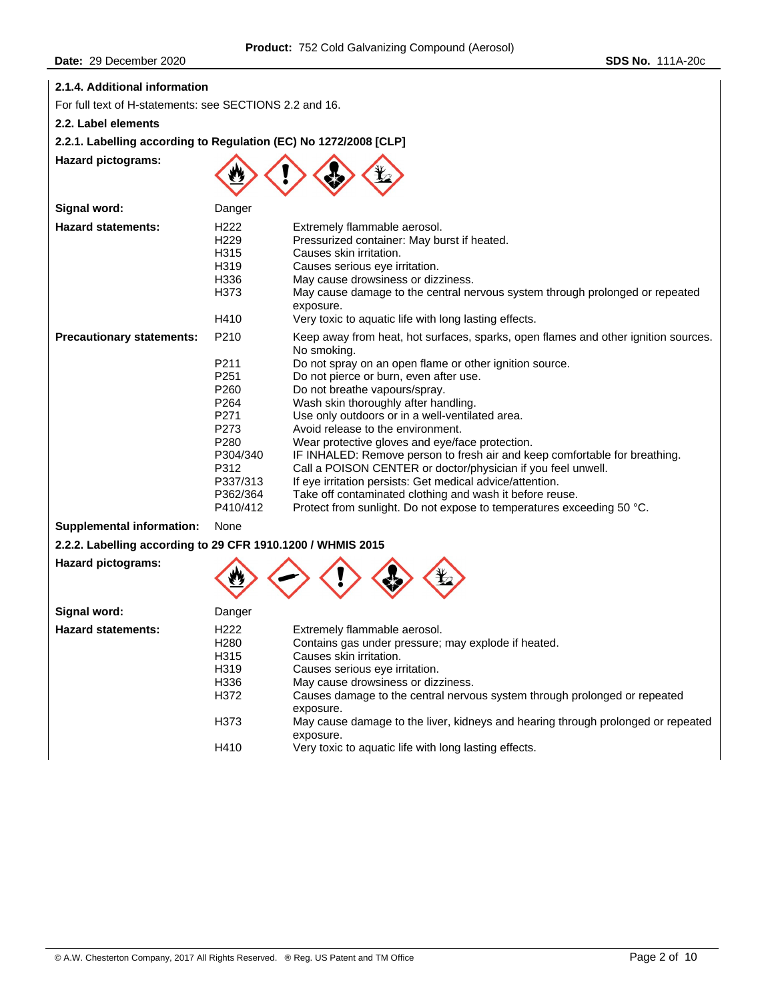## **2.1.4. Additional information**

For full text of H-statements: see SECTIONS 2.2 and 16.

**2.2. Label elements** 

## **2.2.1. Labelling according to Regulation (EC) No 1272/2008 [CLP]**

**Hazard pictograms:** 



| Signal word:                     | Danger                                                                                                               |                                                                                                                                                                                                                                                                                                                                                                                                                                                                                                                                                                                                                                                                                                                                                                                                                                     |
|----------------------------------|----------------------------------------------------------------------------------------------------------------------|-------------------------------------------------------------------------------------------------------------------------------------------------------------------------------------------------------------------------------------------------------------------------------------------------------------------------------------------------------------------------------------------------------------------------------------------------------------------------------------------------------------------------------------------------------------------------------------------------------------------------------------------------------------------------------------------------------------------------------------------------------------------------------------------------------------------------------------|
| <b>Hazard statements:</b>        | H222<br>H229<br>H315<br>H319<br>H336<br>H373<br>H410                                                                 | Extremely flammable aerosol.<br>Pressurized container: May burst if heated.<br>Causes skin irritation.<br>Causes serious eye irritation.<br>May cause drowsiness or dizziness.<br>May cause damage to the central nervous system through prolonged or repeated<br>exposure.                                                                                                                                                                                                                                                                                                                                                                                                                                                                                                                                                         |
| <b>Precautionary statements:</b> | P210<br>P211<br>P251<br>P260<br>P264<br>P271<br>P273<br>P280<br>P304/340<br>P312<br>P337/313<br>P362/364<br>P410/412 | Very toxic to aquatic life with long lasting effects.<br>Keep away from heat, hot surfaces, sparks, open flames and other ignition sources.<br>No smoking.<br>Do not spray on an open flame or other ignition source.<br>Do not pierce or burn, even after use.<br>Do not breathe vapours/spray.<br>Wash skin thoroughly after handling.<br>Use only outdoors or in a well-ventilated area.<br>Avoid release to the environment.<br>Wear protective gloves and eye/face protection.<br>IF INHALED: Remove person to fresh air and keep comfortable for breathing.<br>Call a POISON CENTER or doctor/physician if you feel unwell.<br>If eye irritation persists: Get medical advice/attention.<br>Take off contaminated clothing and wash it before reuse.<br>Protect from sunlight. Do not expose to temperatures exceeding 50 °C. |
| <b>Supplemental information:</b> | None                                                                                                                 |                                                                                                                                                                                                                                                                                                                                                                                                                                                                                                                                                                                                                                                                                                                                                                                                                                     |

# **2.2.2. Labelling according to 29 CFR 1910.1200 / WHMIS 2015**

**Hazard pictograms:** 



| Signal word:              | Danger           |                                                                                               |
|---------------------------|------------------|-----------------------------------------------------------------------------------------------|
| <b>Hazard statements:</b> | H <sub>222</sub> | Extremely flammable aerosol.                                                                  |
|                           | H280             | Contains gas under pressure; may explode if heated.                                           |
|                           | H315             | Causes skin irritation.                                                                       |
|                           | H319             | Causes serious eye irritation.                                                                |
|                           | H336             | May cause drowsiness or dizziness.                                                            |
|                           | H372             | Causes damage to the central nervous system through prolonged or repeated<br>exposure.        |
|                           | H373             | May cause damage to the liver, kidneys and hearing through prolonged or repeated<br>exposure. |
|                           | H410             | Very toxic to aquatic life with long lasting effects.                                         |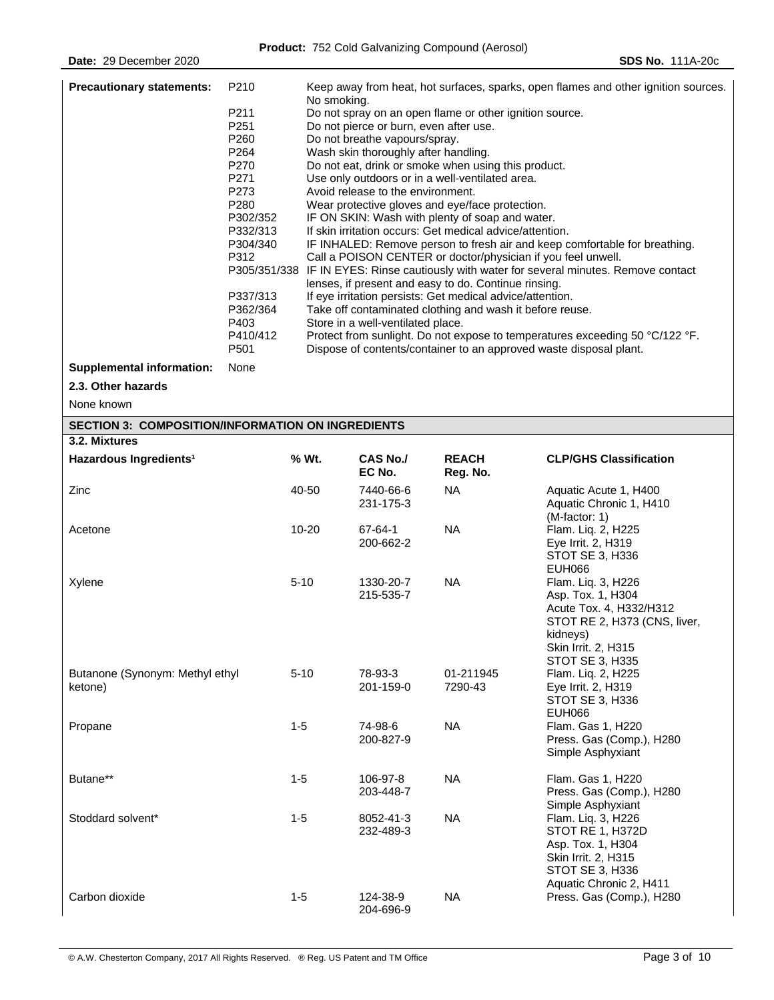| <b>Precautionary statements:</b><br>P210<br>P211<br>P251<br>P260<br>P264<br>P270<br>P271<br>P273<br>P280<br>P302/352<br>P332/313<br>P304/340<br>P312<br>P337/313<br>P362/364<br>P403<br>P410/412<br>P501 |      |          | Keep away from heat, hot surfaces, sparks, open flames and other ignition sources.<br>No smoking.<br>Do not spray on an open flame or other ignition source.<br>Do not pierce or burn, even after use.<br>Do not breathe vapours/spray.<br>Wash skin thoroughly after handling.<br>Do not eat, drink or smoke when using this product.<br>Use only outdoors or in a well-ventilated area.<br>Avoid release to the environment.<br>Wear protective gloves and eye/face protection.<br>IF ON SKIN: Wash with plenty of soap and water.<br>If skin irritation occurs: Get medical advice/attention.<br>IF INHALED: Remove person to fresh air and keep comfortable for breathing.<br>Call a POISON CENTER or doctor/physician if you feel unwell.<br>P305/351/338 IF IN EYES: Rinse cautiously with water for several minutes. Remove contact<br>lenses, if present and easy to do. Continue rinsing.<br>If eye irritation persists: Get medical advice/attention.<br>Take off contaminated clothing and wash it before reuse.<br>Store in a well-ventilated place.<br>Protect from sunlight. Do not expose to temperatures exceeding 50 °C/122 °F.<br>Dispose of contents/container to an approved waste disposal plant. |                          |                                                                                                                                                        |  |  |
|----------------------------------------------------------------------------------------------------------------------------------------------------------------------------------------------------------|------|----------|------------------------------------------------------------------------------------------------------------------------------------------------------------------------------------------------------------------------------------------------------------------------------------------------------------------------------------------------------------------------------------------------------------------------------------------------------------------------------------------------------------------------------------------------------------------------------------------------------------------------------------------------------------------------------------------------------------------------------------------------------------------------------------------------------------------------------------------------------------------------------------------------------------------------------------------------------------------------------------------------------------------------------------------------------------------------------------------------------------------------------------------------------------------------------------------------------------------------|--------------------------|--------------------------------------------------------------------------------------------------------------------------------------------------------|--|--|
| <b>Supplemental information:</b>                                                                                                                                                                         | None |          |                                                                                                                                                                                                                                                                                                                                                                                                                                                                                                                                                                                                                                                                                                                                                                                                                                                                                                                                                                                                                                                                                                                                                                                                                        |                          |                                                                                                                                                        |  |  |
| 2.3. Other hazards                                                                                                                                                                                       |      |          |                                                                                                                                                                                                                                                                                                                                                                                                                                                                                                                                                                                                                                                                                                                                                                                                                                                                                                                                                                                                                                                                                                                                                                                                                        |                          |                                                                                                                                                        |  |  |
| None known                                                                                                                                                                                               |      |          |                                                                                                                                                                                                                                                                                                                                                                                                                                                                                                                                                                                                                                                                                                                                                                                                                                                                                                                                                                                                                                                                                                                                                                                                                        |                          |                                                                                                                                                        |  |  |
| <b>SECTION 3: COMPOSITION/INFORMATION ON INGREDIENTS</b>                                                                                                                                                 |      |          |                                                                                                                                                                                                                                                                                                                                                                                                                                                                                                                                                                                                                                                                                                                                                                                                                                                                                                                                                                                                                                                                                                                                                                                                                        |                          |                                                                                                                                                        |  |  |
| 3.2. Mixtures                                                                                                                                                                                            |      |          |                                                                                                                                                                                                                                                                                                                                                                                                                                                                                                                                                                                                                                                                                                                                                                                                                                                                                                                                                                                                                                                                                                                                                                                                                        |                          |                                                                                                                                                        |  |  |
| Hazardous Ingredients <sup>1</sup>                                                                                                                                                                       |      | % Wt.    | <b>CAS No./</b><br>EC No.                                                                                                                                                                                                                                                                                                                                                                                                                                                                                                                                                                                                                                                                                                                                                                                                                                                                                                                                                                                                                                                                                                                                                                                              | <b>REACH</b><br>Reg. No. | <b>CLP/GHS Classification</b>                                                                                                                          |  |  |
| Zinc                                                                                                                                                                                                     |      | 40-50    | 7440-66-6<br>231-175-3                                                                                                                                                                                                                                                                                                                                                                                                                                                                                                                                                                                                                                                                                                                                                                                                                                                                                                                                                                                                                                                                                                                                                                                                 | <b>NA</b>                | Aquatic Acute 1, H400<br>Aquatic Chronic 1, H410                                                                                                       |  |  |
| Acetone                                                                                                                                                                                                  |      | 10-20    | 67-64-1<br>200-662-2                                                                                                                                                                                                                                                                                                                                                                                                                                                                                                                                                                                                                                                                                                                                                                                                                                                                                                                                                                                                                                                                                                                                                                                                   | <b>NA</b>                | (M-factor: 1)<br>Flam. Liq. 2, H225<br>Eye Irrit. 2, H319<br>STOT SE 3, H336                                                                           |  |  |
| Xylene                                                                                                                                                                                                   |      | $5 - 10$ | 1330-20-7<br>215-535-7                                                                                                                                                                                                                                                                                                                                                                                                                                                                                                                                                                                                                                                                                                                                                                                                                                                                                                                                                                                                                                                                                                                                                                                                 | <b>NA</b>                | <b>EUH066</b><br>Flam. Liq. 3, H226<br>Asp. Tox. 1, H304<br>Acute Tox. 4, H332/H312<br>STOT RE 2, H373 (CNS, liver,<br>kidneys)<br>Skin Irrit. 2, H315 |  |  |
| Butanone (Synonym: Methyl ethyl<br>ketone)                                                                                                                                                               |      | $5 - 10$ | 78-93-3<br>201-159-0                                                                                                                                                                                                                                                                                                                                                                                                                                                                                                                                                                                                                                                                                                                                                                                                                                                                                                                                                                                                                                                                                                                                                                                                   | 01-211945<br>7290-43     | STOT SE 3, H335<br>Flam. Liq. 2, H225<br>Eye Irrit. 2, H319<br>STOT SE 3, H336<br><b>EUH066</b>                                                        |  |  |
| Propane                                                                                                                                                                                                  |      | $1-5$    | 74-98-6<br>200-827-9                                                                                                                                                                                                                                                                                                                                                                                                                                                                                                                                                                                                                                                                                                                                                                                                                                                                                                                                                                                                                                                                                                                                                                                                   | <b>NA</b>                | Flam. Gas 1, H220<br>Press. Gas (Comp.), H280<br>Simple Asphyxiant                                                                                     |  |  |
| Butane**                                                                                                                                                                                                 |      | $1-5$    | 106-97-8<br>203-448-7                                                                                                                                                                                                                                                                                                                                                                                                                                                                                                                                                                                                                                                                                                                                                                                                                                                                                                                                                                                                                                                                                                                                                                                                  | <b>NA</b>                | Flam. Gas 1, H220<br>Press. Gas (Comp.), H280<br>Simple Asphyxiant                                                                                     |  |  |
| Stoddard solvent*                                                                                                                                                                                        |      | $1-5$    | 8052-41-3<br>232-489-3                                                                                                                                                                                                                                                                                                                                                                                                                                                                                                                                                                                                                                                                                                                                                                                                                                                                                                                                                                                                                                                                                                                                                                                                 | <b>NA</b>                | Flam. Liq. 3, H226<br>STOT RE 1, H372D<br>Asp. Tox. 1, H304<br>Skin Irrit. 2, H315<br>STOT SE 3, H336<br>Aquatic Chronic 2, H411                       |  |  |
| Carbon dioxide                                                                                                                                                                                           |      | $1-5$    | 124-38-9<br>204-696-9                                                                                                                                                                                                                                                                                                                                                                                                                                                                                                                                                                                                                                                                                                                                                                                                                                                                                                                                                                                                                                                                                                                                                                                                  | <b>NA</b>                | Press. Gas (Comp.), H280                                                                                                                               |  |  |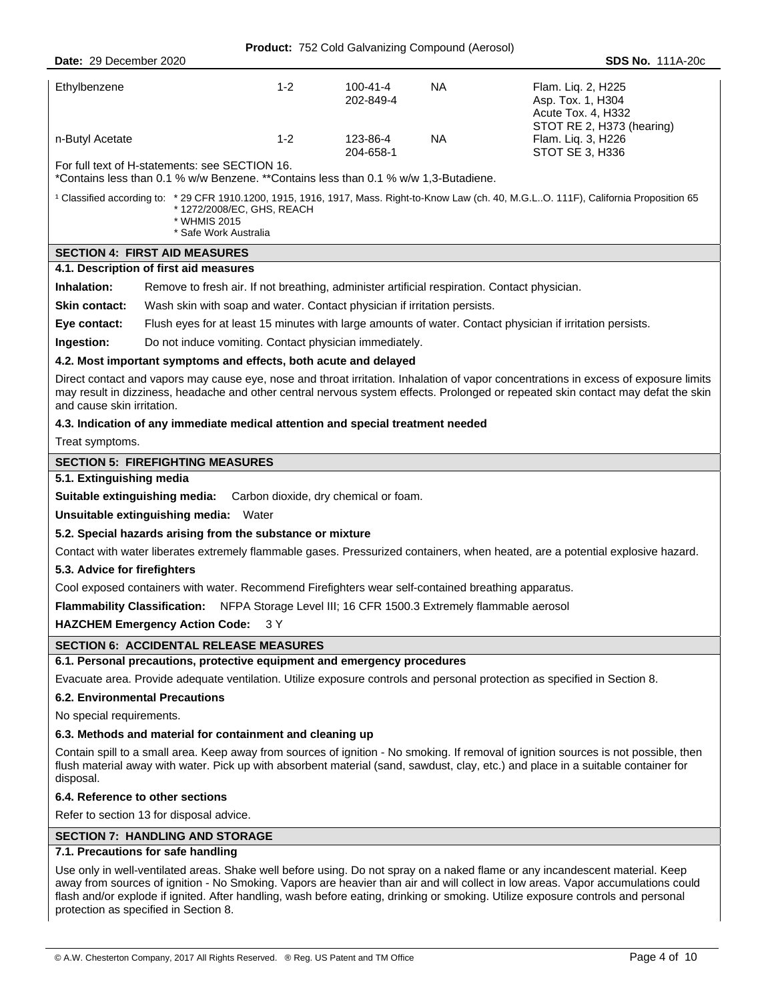| Ethylbenzene                                   | $1 - 2$ | 100-41-4<br>202-849-4 | ΝA        | Flam. Lig. 2, H225<br>Asp. Tox. 1, H304<br>Acute Tox. 4, H332<br>STOT RE 2, H373 (hearing) |
|------------------------------------------------|---------|-----------------------|-----------|--------------------------------------------------------------------------------------------|
| n-Butyl Acetate                                | $1 - 2$ | 123-86-4<br>204-658-1 | <b>NA</b> | Flam. Liq. 3, H226<br>STOT SE 3, H336                                                      |
| For full text of H-statements: see SECTION 16. |         |                       |           |                                                                                            |

\*Contains less than 0.1 % w/w Benzene. \*\*Contains less than 0.1 % w/w 1,3-Butadiene.

| <sup>1</sup> Classified according to: *29 CFR 1910.1200, 1915, 1916, 1917, Mass. Right-to-Know Law (ch. 40, M.G.LO. 111F), California Proposition 65<br>* 1272/2008/EC. GHS. REACH |
|------------------------------------------------------------------------------------------------------------------------------------------------------------------------------------|
| * WHMIS 2015<br>* Safe Work Australia                                                                                                                                              |

# **SECTION 4: FIRST AID MEASURES**

### **4.1. Description of first aid measures**

| Inhalation:          | Remove to fresh air. If not breathing, administer artificial respiration. Contact physician. |
|----------------------|----------------------------------------------------------------------------------------------|
| <b>Skin contact:</b> | Wash skin with soap and water. Contact physician if irritation persists.                     |

**Eye contact:** Flush eyes for at least 15 minutes with large amounts of water. Contact physician if irritation persists.

**Ingestion:** Do not induce vomiting. Contact physician immediately.

#### **4.2. Most important symptoms and effects, both acute and delayed**

Direct contact and vapors may cause eye, nose and throat irritation. Inhalation of vapor concentrations in excess of exposure limits may result in dizziness, headache and other central nervous system effects. Prolonged or repeated skin contact may defat the skin and cause skin irritation.

#### **4.3. Indication of any immediate medical attention and special treatment needed**

Treat symptoms.

#### **SECTION 5: FIREFIGHTING MEASURES**

#### **5.1. Extinguishing media**

**Suitable extinguishing media:** Carbon dioxide, dry chemical or foam.

**Unsuitable extinguishing media:** Water

#### **5.2. Special hazards arising from the substance or mixture**

Contact with water liberates extremely flammable gases. Pressurized containers, when heated, are a potential explosive hazard.

#### **5.3. Advice for firefighters**

Cool exposed containers with water. Recommend Firefighters wear self-contained breathing apparatus.

**Flammability Classification:** NFPA Storage Level III; 16 CFR 1500.3 Extremely flammable aerosol

**HAZCHEM Emergency Action Code:** 3 Y

#### **SECTION 6: ACCIDENTAL RELEASE MEASURES**

## **6.1. Personal precautions, protective equipment and emergency procedures**

Evacuate area. Provide adequate ventilation. Utilize exposure controls and personal protection as specified in Section 8.

## **6.2. Environmental Precautions**

No special requirements.

#### **6.3. Methods and material for containment and cleaning up**

Contain spill to a small area. Keep away from sources of ignition - No smoking. If removal of ignition sources is not possible, then flush material away with water. Pick up with absorbent material (sand, sawdust, clay, etc.) and place in a suitable container for disposal.

#### **6.4. Reference to other sections**

Refer to section 13 for disposal advice.

#### **SECTION 7: HANDLING AND STORAGE**

#### **7.1. Precautions for safe handling**

Use only in well-ventilated areas. Shake well before using. Do not spray on a naked flame or any incandescent material. Keep away from sources of ignition - No Smoking. Vapors are heavier than air and will collect in low areas. Vapor accumulations could flash and/or explode if ignited. After handling, wash before eating, drinking or smoking. Utilize exposure controls and personal protection as specified in Section 8.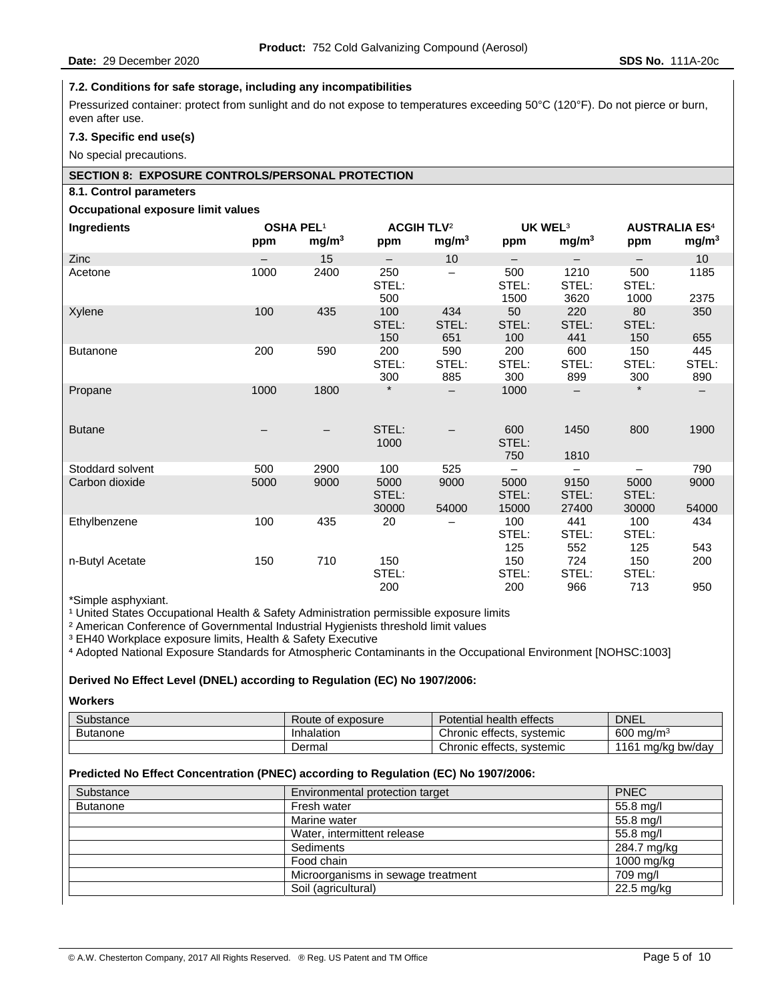## **7.2. Conditions for safe storage, including any incompatibilities**

Pressurized container: protect from sunlight and do not expose to temperatures exceeding 50°C (120°F). Do not pierce or burn, even after use.

### **7.3. Specific end use(s)**

No special precautions.

### **SECTION 8: EXPOSURE CONTROLS/PERSONAL PROTECTION**

#### **8.1. Control parameters**

#### **Occupational exposure limit values**

| <b>Ingredients</b> | <b>OSHA PEL1</b> |                   | <b>ACGIH TLV<sup>2</sup></b> |                     | UK WEL <sup>3</sup>    |                        | <b>AUSTRALIA ES4</b>   |                     |
|--------------------|------------------|-------------------|------------------------------|---------------------|------------------------|------------------------|------------------------|---------------------|
|                    | ppm              | mg/m <sup>3</sup> | ppm                          | mg/m <sup>3</sup>   | ppm                    | mg/m <sup>3</sup>      | ppm                    | mg/m <sup>3</sup>   |
| <b>Zinc</b>        |                  | 15                |                              | 10                  |                        |                        |                        | 10                  |
| Acetone            | 1000             | 2400              | 250<br>STEL:<br>500          |                     | 500<br>STEL:<br>1500   | 1210<br>STEL:<br>3620  | 500<br>STEL:<br>1000   | 1185<br>2375        |
| Xylene             | 100              | 435               | 100<br>STEL:<br>150          | 434<br>STEL:<br>651 | 50<br>STEL:<br>100     | 220<br>STEL:<br>441    | 80<br>STEL:<br>150     | 350<br>655          |
| <b>Butanone</b>    | 200              | 590               | 200<br>STEL:<br>300          | 590<br>STEL:<br>885 | 200<br>STEL:<br>300    | 600<br>STEL:<br>899    | 150<br>STEL:<br>300    | 445<br>STEL:<br>890 |
| Propane            | 1000             | 1800              | $\star$                      |                     | 1000                   |                        | $\star$                |                     |
| <b>Butane</b>      |                  |                   | STEL:<br>1000                |                     | 600<br>STEL:<br>750    | 1450<br>1810           | 800                    | 1900                |
| Stoddard solvent   | 500              | 2900              | 100                          | 525                 | —                      | -                      | $\qquad \qquad -$      | 790                 |
| Carbon dioxide     | 5000             | 9000              | 5000<br>STEL:<br>30000       | 9000<br>54000       | 5000<br>STEL:<br>15000 | 9150<br>STEL:<br>27400 | 5000<br>STEL:<br>30000 | 9000<br>54000       |
| Ethylbenzene       | 100              | 435               | 20                           |                     | 100<br>STEL:<br>125    | 441<br>STEL:<br>552    | 100<br>STEL:<br>125    | 434<br>543          |
| n-Butyl Acetate    | 150              | 710               | 150<br>STEL:<br>200          |                     | 150<br>STEL:<br>200    | 724<br>STEL:<br>966    | 150<br>STEL:<br>713    | 200<br>950          |
|                    |                  |                   |                              |                     |                        |                        |                        |                     |

\*Simple asphyxiant.

<sup>1</sup> United States Occupational Health & Safety Administration permissible exposure limits

² American Conference of Governmental Industrial Hygienists threshold limit values

<sup>3</sup> EH40 Workplace exposure limits, Health & Safety Executive

⁴ Adopted National Exposure Standards for Atmospheric Contaminants in the Occupational Environment [NOHSC:1003]

#### **Derived No Effect Level (DNEL) according to Regulation (EC) No 1907/2006:**

**Workers** 

| Substance       | Route of exposure | Potential health effects  | <b>DNEL</b>          |
|-----------------|-------------------|---------------------------|----------------------|
| <b>Butanone</b> | Inhalation        | Chronic effects, systemic | $600 \text{ ma/m}^3$ |
|                 | Dermal            | Chronic effects, systemic | 1161 mg/kg bw/day    |

#### **Predicted No Effect Concentration (PNEC) according to Regulation (EC) No 1907/2006:**

| Substance       | Environmental protection target    | <b>PNEC</b> |
|-----------------|------------------------------------|-------------|
| <b>Butanone</b> | Fresh water                        | 55.8 mg/l   |
|                 | Marine water                       | 55.8 mg/l   |
|                 | Water, intermittent release        | 55.8 mg/l   |
|                 | Sediments                          | 284.7 mg/kg |
|                 | Food chain                         | 1000 mg/kg  |
|                 | Microorganisms in sewage treatment | 709 mg/l    |
|                 | Soil (agricultural)                | 22.5 mg/kg  |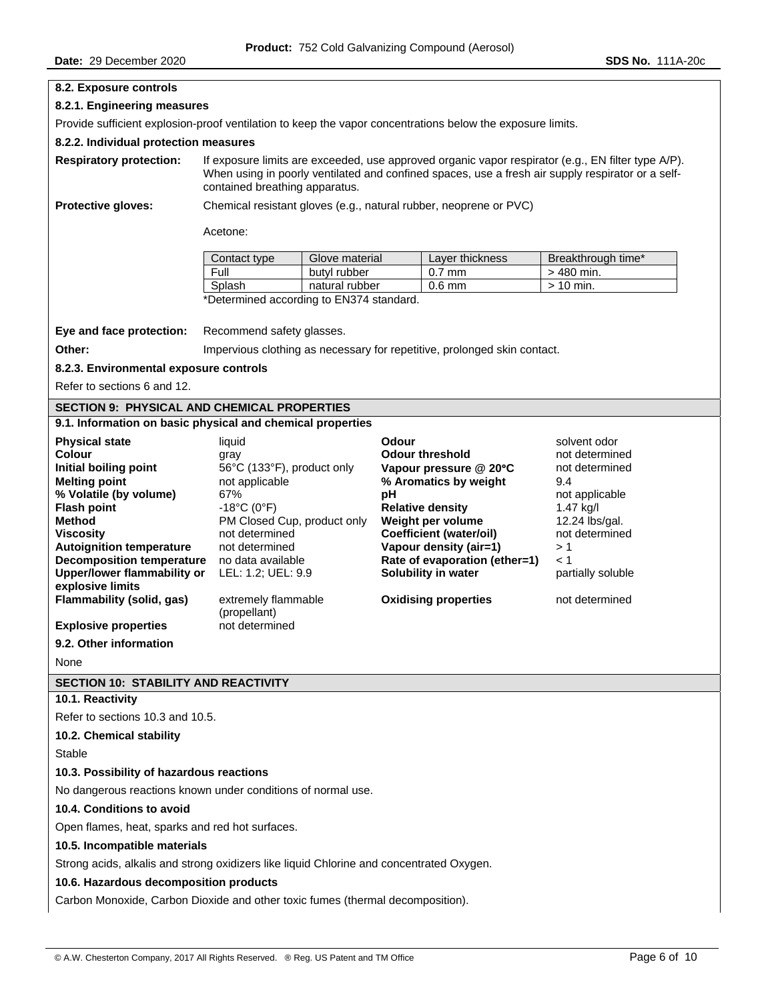# **8.2. Exposure controls 8.2.1. Engineering measures**  Provide sufficient explosion-proof ventilation to keep the vapor concentrations below the exposure limits. **8.2.2. Individual protection measures Respiratory protection:** If exposure limits are exceeded, use approved organic vapor respirator (e.g., EN filter type A/P). When using in poorly ventilated and confined spaces, use a fresh air supply respirator or a selfcontained breathing apparatus. **Protective gloves:** Chemical resistant gloves (e.g., natural rubber, neoprene or PVC) Acetone: Contact type Glove material Layer thickness Breakthrough time\* Full butyl rubber 0.7 mm  $\vert$  > 480 min. Splash | natural rubber | 0.6 mm | > 10 min. \*Determined according to EN374 standard. **Eye and face protection:** Recommend safety glasses. **Other: Impervious clothing as necessary for repetitive, prolonged skin contact. 8.2.3. Environmental exposure controls**  Refer to sections 6 and 12. **SECTION 9: PHYSICAL AND CHEMICAL PROPERTIES 9.1. Information on basic physical and chemical properties Physical state Contract State liquid Contract Contract Contract Contract Contract Contract Contract Contract Contract Contract Contract Contract Contract Contract Contract Contract Contract Contract Contract Contrac Colour Colour Colour Example 3 and Colour threshold** and determined **notice initial boiling point** 56°C (133°F), product only **Colour pressure** @ 20°C and determined **Initial boiling point** 56°C (133°F), product only **Vapour pressure @ 20**°**C** not determined **Melting point** not applicable **% Aromatics by weight** 9.4 **% Volatile (by volume)** 67% **pH** not applicable **Flash point** -18°C (0°F) **Relative density** 1.47 kg/l **Method** PM Closed Cup, product only **Weight per volume** 12.24 lbs/gal. **Viscosity** not determined **Coefficient (water/oil)** not determined **Autoignition temperature** not determined **Vapour density (air=1)** > 1 **Decomposition temperature** no data available **Rate of evaporation (ether=1)**  $\leq$  1 **Upper/lower flammability or explosive limits**  LEL: 1.2; UEL: 9.9 **Solubility in water** partially soluble **Flammability (solid, gas)** extremely flammable (propellant) **Oxidising properties** not determined **Explosive properties** not determined **9.2. Other information**  None **SECTION 10: STABILITY AND REACTIVITY 10.1. Reactivity**  Refer to sections 10.3 and 10.5. **10.2. Chemical stability**  Stable **10.3. Possibility of hazardous reactions**  No dangerous reactions known under conditions of normal use. **10.4. Conditions to avoid**  Open flames, heat, sparks and red hot surfaces. **10.5. Incompatible materials**  Strong acids, alkalis and strong oxidizers like liquid Chlorine and concentrated Oxygen. **10.6. Hazardous decomposition products**  Carbon Monoxide, Carbon Dioxide and other toxic fumes (thermal decomposition).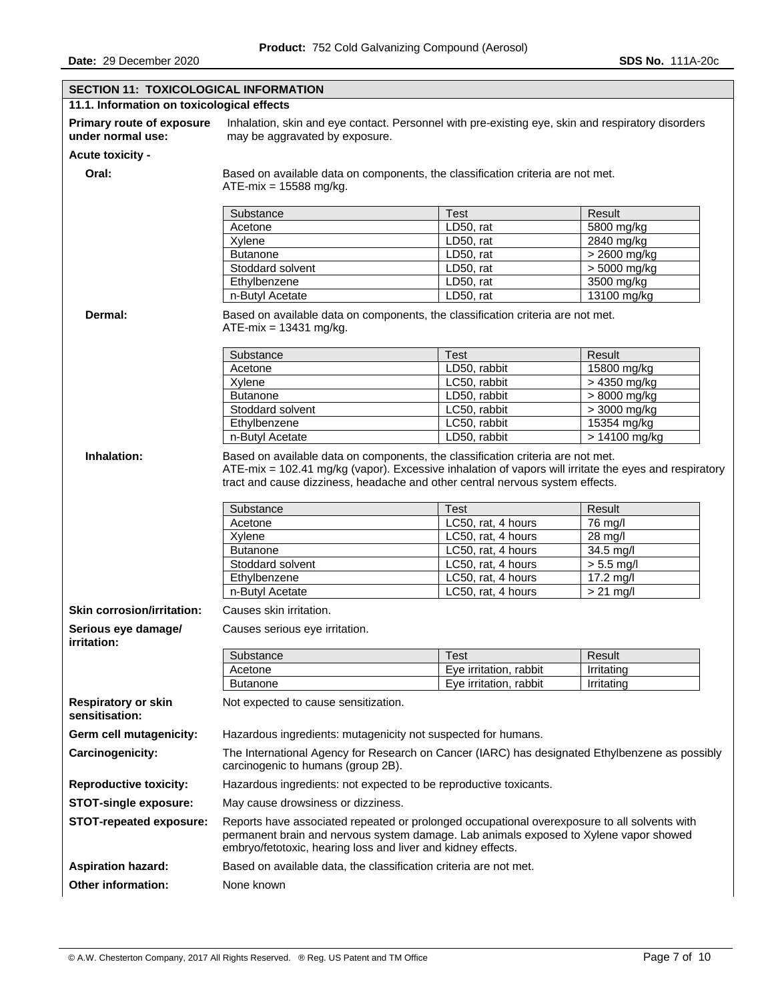| <b>SECTION 11: TOXICOLOGICAL INFORMATION</b>   |                                                                                                                                                                                                                                                                           |                        |                |  |  |
|------------------------------------------------|---------------------------------------------------------------------------------------------------------------------------------------------------------------------------------------------------------------------------------------------------------------------------|------------------------|----------------|--|--|
| 11.1. Information on toxicological effects     |                                                                                                                                                                                                                                                                           |                        |                |  |  |
| Primary route of exposure<br>under normal use: | Inhalation, skin and eye contact. Personnel with pre-existing eye, skin and respiratory disorders<br>may be aggravated by exposure.                                                                                                                                       |                        |                |  |  |
| Acute toxicity -                               |                                                                                                                                                                                                                                                                           |                        |                |  |  |
| Oral:                                          | Based on available data on components, the classification criteria are not met.<br>$ATE-mix = 15588 \text{ mg/kg}$ .                                                                                                                                                      |                        |                |  |  |
|                                                | Substance                                                                                                                                                                                                                                                                 | <b>Test</b>            | Result         |  |  |
|                                                | Acetone                                                                                                                                                                                                                                                                   | LD50, rat              | 5800 mg/kg     |  |  |
|                                                | Xylene                                                                                                                                                                                                                                                                    | LD50, rat              | 2840 mg/kg     |  |  |
|                                                | <b>Butanone</b>                                                                                                                                                                                                                                                           | LD50, rat              | $> 2600$ mg/kg |  |  |
|                                                | Stoddard solvent                                                                                                                                                                                                                                                          | LD50, rat              | > 5000 mg/kg   |  |  |
|                                                | Ethylbenzene                                                                                                                                                                                                                                                              | LD50, rat              | 3500 mg/kg     |  |  |
|                                                | n-Butyl Acetate                                                                                                                                                                                                                                                           | LD50, rat              | 13100 mg/kg    |  |  |
| Dermal:                                        | Based on available data on components, the classification criteria are not met.<br>$ATE-mix = 13431 mg/kg$ .                                                                                                                                                              |                        |                |  |  |
|                                                | Substance                                                                                                                                                                                                                                                                 | <b>Test</b>            | Result         |  |  |
|                                                | Acetone                                                                                                                                                                                                                                                                   | LD50, rabbit           | 15800 mg/kg    |  |  |
|                                                | Xylene                                                                                                                                                                                                                                                                    | LC50, rabbit           | > 4350 mg/kg   |  |  |
|                                                | <b>Butanone</b>                                                                                                                                                                                                                                                           | LD50, rabbit           | > 8000 mg/kg   |  |  |
|                                                | Stoddard solvent                                                                                                                                                                                                                                                          | LC50, rabbit           | > 3000 mg/kg   |  |  |
|                                                | Ethylbenzene                                                                                                                                                                                                                                                              | LC50, rabbit           | 15354 mg/kg    |  |  |
|                                                | n-Butyl Acetate                                                                                                                                                                                                                                                           | LD50, rabbit           | > 14100 mg/kg  |  |  |
| Inhalation:                                    | Based on available data on components, the classification criteria are not met.<br>ATE-mix = 102.41 mg/kg (vapor). Excessive inhalation of vapors will irritate the eyes and respiratory<br>tract and cause dizziness, headache and other central nervous system effects. |                        |                |  |  |
|                                                | Substance                                                                                                                                                                                                                                                                 | <b>Test</b>            | Result         |  |  |
|                                                | Acetone                                                                                                                                                                                                                                                                   | LC50, rat, 4 hours     | 76 mg/l        |  |  |
|                                                | Xylene                                                                                                                                                                                                                                                                    | LC50, rat, 4 hours     | 28 mg/l        |  |  |
|                                                | <b>Butanone</b>                                                                                                                                                                                                                                                           | LC50, rat, 4 hours     | 34.5 mg/l      |  |  |
|                                                | Stoddard solvent<br>LC50, rat, 4 hours<br>$> 5.5$ mg/l                                                                                                                                                                                                                    |                        |                |  |  |
|                                                | Ethylbenzene                                                                                                                                                                                                                                                              | LC50, rat, 4 hours     | 17.2 mg/l      |  |  |
|                                                | n-Butyl Acetate                                                                                                                                                                                                                                                           | LC50, rat, 4 hours     | $> 21$ mg/l    |  |  |
| <b>Skin corrosion/irritation:</b>              | Causes skin irritation.                                                                                                                                                                                                                                                   |                        |                |  |  |
| Serious eye damagel<br>irritation:             | Causes serious eye irritation.                                                                                                                                                                                                                                            |                        |                |  |  |
|                                                | Substance                                                                                                                                                                                                                                                                 | <b>Test</b>            | Result         |  |  |
|                                                | Acetone                                                                                                                                                                                                                                                                   | Eye irritation, rabbit | Irritating     |  |  |
|                                                | <b>Butanone</b>                                                                                                                                                                                                                                                           | Eye irritation, rabbit | Irritating     |  |  |
| <b>Respiratory or skin</b><br>sensitisation:   | Not expected to cause sensitization.                                                                                                                                                                                                                                      |                        |                |  |  |
| Germ cell mutagenicity:                        | Hazardous ingredients: mutagenicity not suspected for humans.                                                                                                                                                                                                             |                        |                |  |  |
| Carcinogenicity:                               | The International Agency for Research on Cancer (IARC) has designated Ethylbenzene as possibly<br>carcinogenic to humans (group 2B).                                                                                                                                      |                        |                |  |  |
| <b>Reproductive toxicity:</b>                  | Hazardous ingredients: not expected to be reproductive toxicants.                                                                                                                                                                                                         |                        |                |  |  |
| <b>STOT-single exposure:</b>                   | May cause drowsiness or dizziness.                                                                                                                                                                                                                                        |                        |                |  |  |
| <b>STOT-repeated exposure:</b>                 | Reports have associated repeated or prolonged occupational overexposure to all solvents with                                                                                                                                                                              |                        |                |  |  |
|                                                | permanent brain and nervous system damage. Lab animals exposed to Xylene vapor showed<br>embryo/fetotoxic, hearing loss and liver and kidney effects.                                                                                                                     |                        |                |  |  |
| <b>Aspiration hazard:</b>                      | Based on available data, the classification criteria are not met.                                                                                                                                                                                                         |                        |                |  |  |
| <b>Other information:</b>                      | None known                                                                                                                                                                                                                                                                |                        |                |  |  |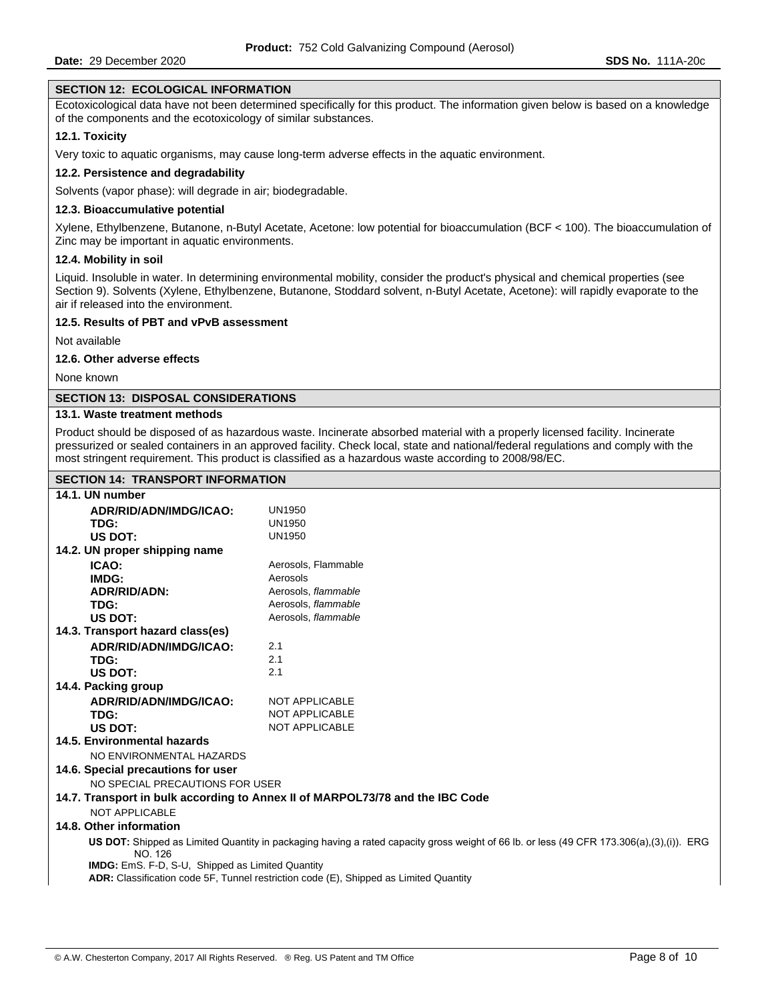#### **SECTION 12: ECOLOGICAL INFORMATION**

Ecotoxicological data have not been determined specifically for this product. The information given below is based on a knowledge of the components and the ecotoxicology of similar substances.

#### **12.1. Toxicity**

Very toxic to aquatic organisms, may cause long-term adverse effects in the aquatic environment.

#### **12.2. Persistence and degradability**

Solvents (vapor phase): will degrade in air; biodegradable.

#### **12.3. Bioaccumulative potential**

Xylene, Ethylbenzene, Butanone, n-Butyl Acetate, Acetone: low potential for bioaccumulation (BCF < 100). The bioaccumulation of Zinc may be important in aquatic environments.

#### **12.4. Mobility in soil**

Liquid. Insoluble in water. In determining environmental mobility, consider the product's physical and chemical properties (see Section 9). Solvents (Xylene, Ethylbenzene, Butanone, Stoddard solvent, n-Butyl Acetate, Acetone): will rapidly evaporate to the air if released into the environment.

#### **12.5. Results of PBT and vPvB assessment**

Not available

#### **12.6. Other adverse effects**

None known

#### **SECTION 13: DISPOSAL CONSIDERATIONS**

## **13.1. Waste treatment methods**

Product should be disposed of as hazardous waste. Incinerate absorbed material with a properly licensed facility. Incinerate pressurized or sealed containers in an approved facility. Check local, state and national/federal regulations and comply with the most stringent requirement. This product is classified as a hazardous waste according to 2008/98/EC.

## **SECTION 14: TRANSPORT INFORMATION**

| 14.1. UN number                                         |                                                                                                                                          |
|---------------------------------------------------------|------------------------------------------------------------------------------------------------------------------------------------------|
| ADR/RID/ADN/IMDG/ICAO:                                  | <b>UN1950</b>                                                                                                                            |
| TDG:                                                    | <b>UN1950</b>                                                                                                                            |
| US DOT:                                                 | <b>UN1950</b>                                                                                                                            |
| 14.2. UN proper shipping name                           |                                                                                                                                          |
| ICAO:                                                   | Aerosols, Flammable                                                                                                                      |
| IMDG:                                                   | Aerosols                                                                                                                                 |
| <b>ADR/RID/ADN:</b>                                     | Aerosols, flammable                                                                                                                      |
| TDG:                                                    | Aerosols, flammable                                                                                                                      |
| US DOT:                                                 | Aerosols, flammable                                                                                                                      |
| 14.3. Transport hazard class(es)                        |                                                                                                                                          |
| ADR/RID/ADN/IMDG/ICAO:                                  | 2.1                                                                                                                                      |
| TDG:                                                    | 2.1                                                                                                                                      |
| US DOT:                                                 | 2.1                                                                                                                                      |
| 14.4. Packing group                                     |                                                                                                                                          |
| ADR/RID/ADN/IMDG/ICAO:                                  | <b>NOT APPLICABLE</b>                                                                                                                    |
| TDG:                                                    | <b>NOT APPLICABLE</b>                                                                                                                    |
| US DOT:                                                 | <b>NOT APPLICABLE</b>                                                                                                                    |
| 14.5. Environmental hazards                             |                                                                                                                                          |
| NO ENVIRONMENTAL HAZARDS                                |                                                                                                                                          |
| 14.6. Special precautions for user                      |                                                                                                                                          |
| NO SPECIAL PRECAUTIONS FOR USER                         |                                                                                                                                          |
|                                                         | 14.7. Transport in bulk according to Annex II of MARPOL73/78 and the IBC Code                                                            |
| <b>NOT APPLICABLE</b>                                   |                                                                                                                                          |
| 14.8. Other information                                 |                                                                                                                                          |
| NO. 126                                                 | US DOT: Shipped as Limited Quantity in packaging having a rated capacity gross weight of 66 lb. or less (49 CFR 173.306(a),(3),(i)). ERG |
| <b>IMDG:</b> EmS. F-D, S-U, Shipped as Limited Quantity |                                                                                                                                          |
|                                                         | ADR: Classification code 5F, Tunnel restriction code (E), Shipped as Limited Quantity                                                    |
|                                                         |                                                                                                                                          |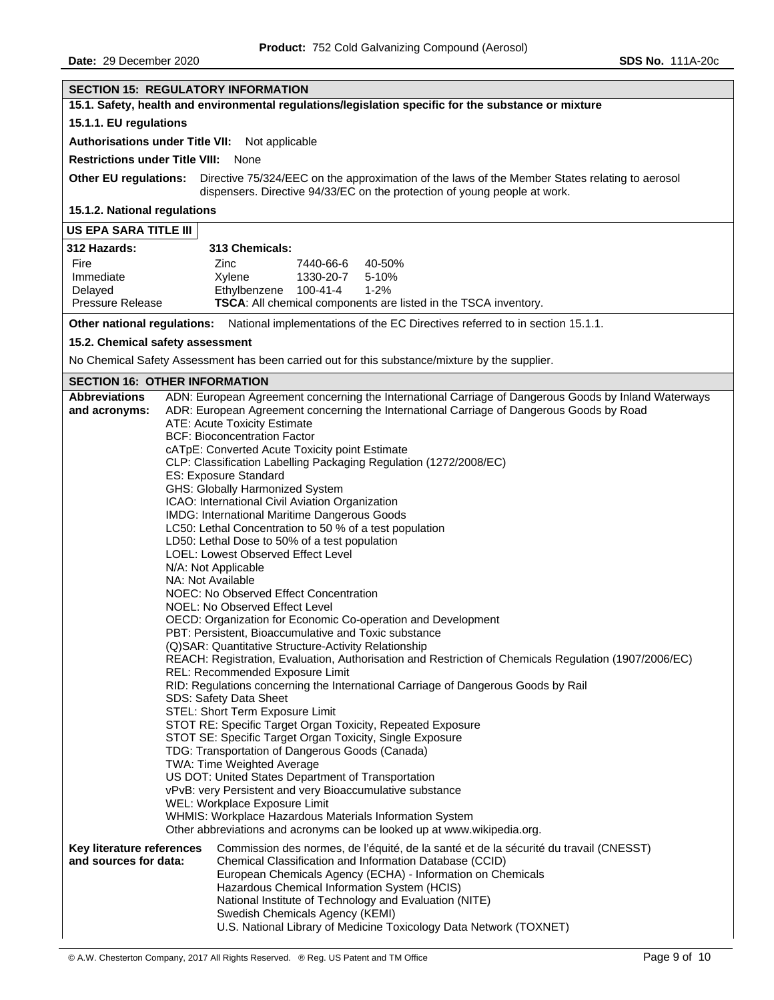| <b>SECTION 15: REGULATORY INFORMATION</b>                                                                            |                                                                                                                        |  |
|----------------------------------------------------------------------------------------------------------------------|------------------------------------------------------------------------------------------------------------------------|--|
| 15.1. Safety, health and environmental regulations/legislation specific for the substance or mixture                 |                                                                                                                        |  |
| 15.1.1. EU regulations                                                                                               |                                                                                                                        |  |
| Authorisations under Title VII: Not applicable                                                                       |                                                                                                                        |  |
| <b>Restrictions under Title VIII:</b>                                                                                | None                                                                                                                   |  |
| <b>Other EU regulations:</b>                                                                                         | Directive 75/324/EEC on the approximation of the laws of the Member States relating to aerosol                         |  |
|                                                                                                                      | dispensers. Directive 94/33/EC on the protection of young people at work.                                              |  |
| 15.1.2. National regulations                                                                                         |                                                                                                                        |  |
| US EPA SARA TITLE III                                                                                                |                                                                                                                        |  |
| 312 Hazards:                                                                                                         | 313 Chemicals:                                                                                                         |  |
| Fire                                                                                                                 | Zinc<br>7440-66-6<br>40-50%                                                                                            |  |
| Immediate                                                                                                            | Xylene<br>1330-20-7<br>5-10%                                                                                           |  |
| Delayed<br><b>Pressure Release</b>                                                                                   | Ethylbenzene 100-41-4<br>$1 - 2%$<br>TSCA: All chemical components are listed in the TSCA inventory.                   |  |
|                                                                                                                      | Other national regulations: National implementations of the EC Directives referred to in section 15.1.1.               |  |
| 15.2. Chemical safety assessment                                                                                     |                                                                                                                        |  |
|                                                                                                                      |                                                                                                                        |  |
| No Chemical Safety Assessment has been carried out for this substance/mixture by the supplier.                       |                                                                                                                        |  |
| <b>SECTION 16: OTHER INFORMATION</b><br><b>Abbreviations</b>                                                         | ADN: European Agreement concerning the International Carriage of Dangerous Goods by Inland Waterways                   |  |
| and acronyms:                                                                                                        | ADR: European Agreement concerning the International Carriage of Dangerous Goods by Road                               |  |
|                                                                                                                      | ATE: Acute Toxicity Estimate                                                                                           |  |
|                                                                                                                      | <b>BCF: Bioconcentration Factor</b>                                                                                    |  |
|                                                                                                                      | cATpE: Converted Acute Toxicity point Estimate<br>CLP: Classification Labelling Packaging Regulation (1272/2008/EC)    |  |
|                                                                                                                      | ES: Exposure Standard                                                                                                  |  |
|                                                                                                                      | GHS: Globally Harmonized System                                                                                        |  |
|                                                                                                                      | ICAO: International Civil Aviation Organization<br>IMDG: International Maritime Dangerous Goods                        |  |
| LC50: Lethal Concentration to 50 % of a test population                                                              |                                                                                                                        |  |
| LD50: Lethal Dose to 50% of a test population                                                                        |                                                                                                                        |  |
| LOEL: Lowest Observed Effect Level<br>N/A: Not Applicable                                                            |                                                                                                                        |  |
| NA: Not Available                                                                                                    |                                                                                                                        |  |
| NOEC: No Observed Effect Concentration                                                                               |                                                                                                                        |  |
| NOEL: No Observed Effect Level                                                                                       |                                                                                                                        |  |
| OECD: Organization for Economic Co-operation and Development<br>PBT: Persistent, Bioaccumulative and Toxic substance |                                                                                                                        |  |
|                                                                                                                      | (Q)SAR: Quantitative Structure-Activity Relationship                                                                   |  |
|                                                                                                                      | REACH: Registration, Evaluation, Authorisation and Restriction of Chemicals Regulation (1907/2006/EC)                  |  |
|                                                                                                                      | REL: Recommended Exposure Limit<br>RID: Regulations concerning the International Carriage of Dangerous Goods by Rail   |  |
|                                                                                                                      | SDS: Safety Data Sheet                                                                                                 |  |
|                                                                                                                      | STEL: Short Term Exposure Limit                                                                                        |  |
|                                                                                                                      | STOT RE: Specific Target Organ Toxicity, Repeated Exposure<br>STOT SE: Specific Target Organ Toxicity, Single Exposure |  |
|                                                                                                                      | TDG: Transportation of Dangerous Goods (Canada)                                                                        |  |
|                                                                                                                      | TWA: Time Weighted Average                                                                                             |  |
|                                                                                                                      | US DOT: United States Department of Transportation<br>vPvB: very Persistent and very Bioaccumulative substance         |  |
|                                                                                                                      | WEL: Workplace Exposure Limit                                                                                          |  |
|                                                                                                                      | WHMIS: Workplace Hazardous Materials Information System                                                                |  |
| Other abbreviations and acronyms can be looked up at www.wikipedia.org.                                              |                                                                                                                        |  |
| Key literature references<br>and sources for data:                                                                   | Commission des normes, de l'équité, de la santé et de la sécurité du travail (CNESST)                                  |  |
|                                                                                                                      | Chemical Classification and Information Database (CCID)<br>European Chemicals Agency (ECHA) - Information on Chemicals |  |
|                                                                                                                      | Hazardous Chemical Information System (HCIS)                                                                           |  |
|                                                                                                                      | National Institute of Technology and Evaluation (NITE)                                                                 |  |
|                                                                                                                      | Swedish Chemicals Agency (KEMI)<br>U.S. National Library of Medicine Toxicology Data Network (TOXNET)                  |  |